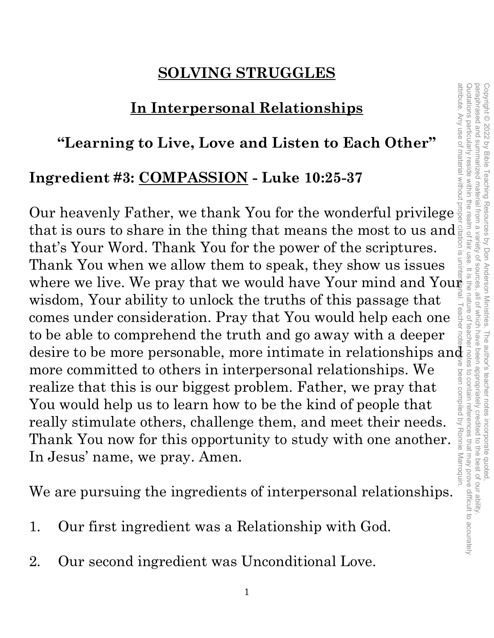### **SOLVING STRUGGLES**

#### **In Interpersonal Relationships**

#### **"Learning to Live, Love and Listen to Each Other"**

#### **Ingredient #3: COMPASSION - Luke 10:25-37**

Our heavenly Father, we thank You for the wonderful privilege that is ours to share in the thing that means the most to us and that's Your Word. Thank You for the power of the scriptures. Thank You when we allow them to speak, they show us issues where we live. We pray that we would have Your mind and Your wisdom, Your ability to unlock the truths of this passage that comes under consideration. Pray that You would help each one to be able to comprehend the truth and go away with a deeper desire to be more personable, more intimate in relationships and more committed to others in interpersonal relationships. We realize that this is our biggest problem. Father, we pray that You would help us to learn how to be the kind of people that really stimulate others, challenge them, and meet their needs. Thank You now for this opportunity to study with one another. In Jesus' name, we pray. Amen.

We are pursuing the ingredients of interpersonal relationships.

- 1. Our first ingredient was a Relationship with God.
- 2. Our second ingredient was Unconditional Love.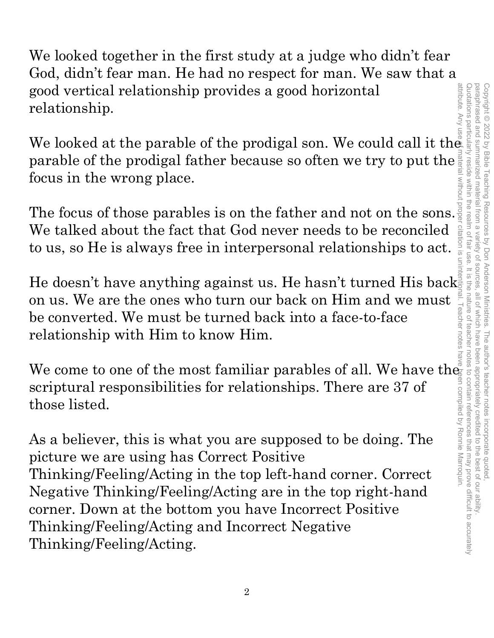We looked together in the first study at a judge who didn't fear God, didn't fear man. He had no respect for man. We saw that a good vertical relationship provides a good horizontal relationship. good vertical relationship provides a good horizontal<br>relationship.<br>We looked at the parable of the prodigal son. We could call it the

parable of the prodigal father because so often we try to put the  $\frac{3}{2}$ focus in the wrong place.

The focus of those parables is on the father and not on the sons. We talked about the fact that God never needs to be reconciled to us, so He is always free in interpersonal relationships to act.

He doesn't have anything against us. He hasn't turned His back on us. We are the ones who turn our back on Him and we must be converted. We must be turned back into a face-to-face relationship with Him to know Him.

We come to one of the most familiar parables of all. We have the scriptural responsibilities for relationships. There are 37 of those listed.

As a believer, this is what you are supposed to be doing. The picture we are using has Correct Positive Thinking/Feeling/Acting in the top left-hand corner. Correct Negative Thinking/Feeling/Acting are in the top right-hand corner. Down at the bottom you have Incorrect Positive Thinking/Feeling/Acting and Incorrect Negative Thinking/Feeling/Acting.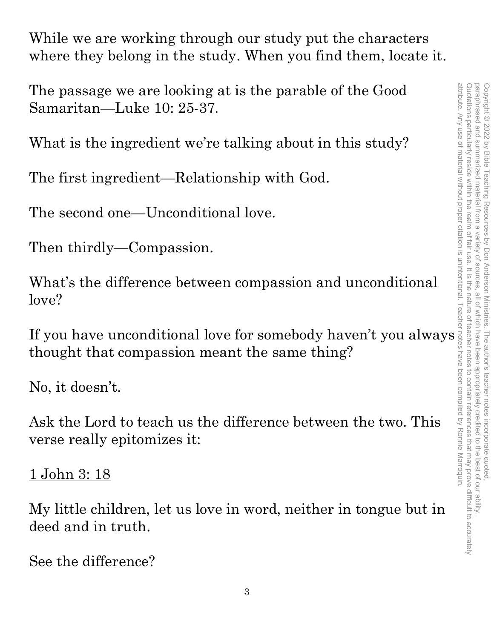While we are working through our study put the characters where they belong in the study. When you find them, locate it.

The passage we are looking at is the parable of the Good Samaritan—Luke 10: 25-37.

What is the ingredient we're talking about in this study?

The first ingredient—Relationship with God.

The second one—Unconditional love.

Then thirdly—Compassion.

What's the difference between compassion and unconditional love?

The passage we are looking at is the parable of the Good<br>
Samaritan—Luke 10: 25-37.<br>
What is the ingredient we're talking about in this study?<br>
The first ingredient—Relationship with God.<br>
The second one—Unconditional lov thought that compassion meant the same thing?

No, it doesn't.

Ask the Lord to teach us the difference between the two. This verse really epitomizes it:

<u>1 John 3: 18</u>

My little children, let us love in word, neither in tongue but in deed and in truth.

See the difference?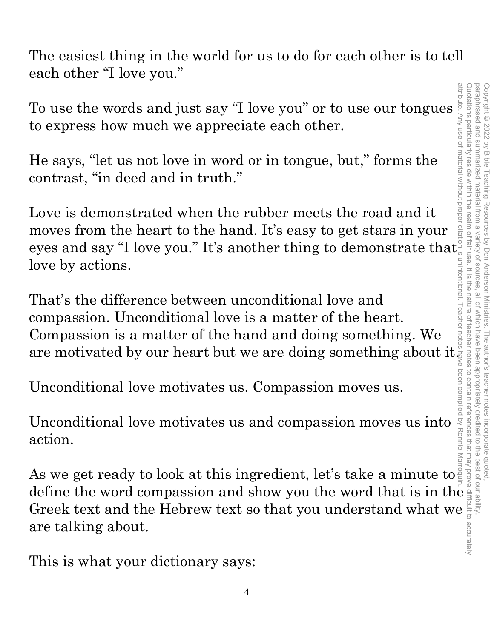attribute. Any use of material without proper citation is unintentional. Teacher notes have been compiled by Ronnie Marroquin.Quotations particularly reside within the realm Quotations particularly reside within the realm of fair use. It is the nature of teacher notes to contain references that may prove difficult to accurately paraphrased and summarized paraphrased and summarized material from a variety of sources, all of which have been appropriately credited to the best of our ability. Copyright © 2022 by Bible Teaching Resources Copyright © 2022 by Bible Teaching Resources by Don Anderson Ministries. The author's teacher notes incorporate quoted, material of fair use. It is the nature of by Don Anderson Ministries unintentional sources all of . The author's teacher notes incorporate quoted,<br>I have been appropriately credited to the best of our ability

The easiest thing in the world for us to do for each other is to tell each other "I love you."

to express how much we appreciate each other.

He says, "let us not love in word or in tongue, but," forms the contrast, "in deed and in truth."

To use the words and just say "I love you" or to use our tongues<br>to express how much we appreciate each other.<br>He says, "let us not love in word or in tongue, but," forms the<br>contrast, "in deed and in truth."<br>Love is demo Love is demonstrated when the rubber meets the road and it moves from the heart to the hand. It's easy to get stars in your eyes and say "I love you." It's another thing to demonstrate that love by actions.

That's the difference between unconditional love and compassion. Unconditional love is a matter of the heart. Compassion is a matter of the hand and doing something. We Finars the difference between diffeometricial love and<br>compassion. Unconditional love is a matter of the heart.<br>Compassion is a matter of the hand and doing something. We<br>are motivated by our heart but we are doing someth

Unconditional love motivates us. Compassion moves us.

Unconditional love motivates us and compassion moves us into action.

As we get ready to look at this ingredient, let's take a minute to  $\frac{1}{2}$ define the word compassion and show you the word that is in the Greek text and the Hebrew text so that you understand what we are talking about. are talking about.

This is what your dictionary says: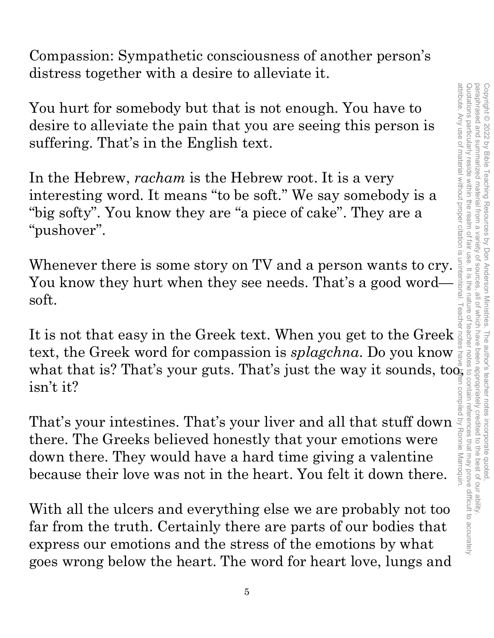Compassion: Sympathetic consciousness of another person's distress together with a desire to alleviate it.

You hurt for somebody but that is not enough. You have to desire to alleviate the pain that you are seeing this person is suffering. That's in the English text.

In the Hebrew, *racham* is the Hebrew root. It is a very interesting word. It means "to be soft." We say somebody is a "big softy". You know they are "a piece of cake". They are a "pushover".

Whenever there is some story on TV and a person wants to cry. You know they hurt when they see needs. That's a good wordsoft.

It is not that easy in the Greek text. When you get to the Greek text, the Greek word for compassion is *splagchna*. Do you know what that is? That's your guts. That's just the way it sounds, too, isn't it?

 $\frac{1}{2}$ <br>That's your intestines. That's your liver and all that stuff down<br>there. The Greeks believed honestly that your emotions were<br>down there. They would have a hard time giving a valentine<br>because their love was not there. The Greeks believed honestly that your emotions were down there. They would have a hard time giving a valentine because their love was not in the heart. You felt it down there.

With all the ulcers and everything else we are probably not too far from the truth. Certainly there are parts of our bodies that express our emotions and the stress of the emotions by what goes wrong below the heart. The word for heart love, lungs and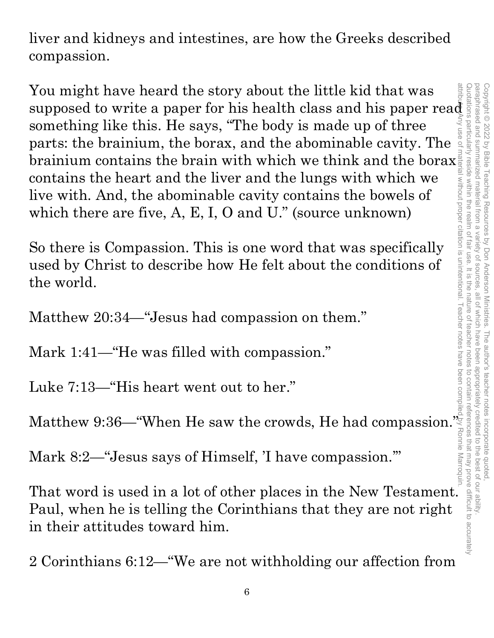liver and kidneys and intestines, are how the Greeks described compassion.

You might have heard the story about the little kid that was You might have heard the story about the little kid that was<br>supposed to write a paper for his health class and his paper read<br>something like this. He says, "The body is made up of three<br>parts: the brainium, the borax, an something like this. He says, "The body is made up of three parts: the brainium, the borax, and the abominable cavity. The brainium contains the brain with which we think and the borax $\frac{1}{2}$ contains the heart and the liver and the lungs with which we live with. And, the abominable cavity contains the bowels of which there are five, A, E, I, O and U." (source unknown)

So there is Compassion. This is one word that was specifically used by Christ to describe how He felt about the conditions of the world.

Matthew 20:34—"Jesus had compassion on them."

Mark 1:41—"He was filled with compassion."

Luke 7:13—"His heart went out to her."

Matthew 9:36—"When He saw the crowds, He had compassion." Matthew 9:36—"When He saw the crowds, He had compassion."<br>Mark 8:2—"Jesus says of Himself, 'I have compassion."

That word is used in a lot of other places in the New Testament. Paul, when he is telling the Corinthians that they are not right in their attitudes toward him.

2 Corinthians 6:12—"We are not withholding our affection from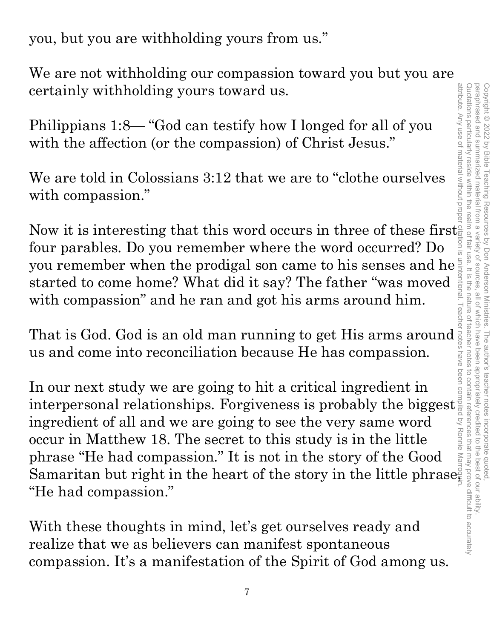Copyright © 2022 by Bible Teaching Resources by Don Anderson Ministries. The author's teacher notes incorporate quoted,<br>paraphrased and summarized material from a variety of sources, all of which have been appropriately cr paraphrased and summarized material from a attribute. Any use of material without proper citation is unintentional. Teacher notes have been compiled by Ronnie Marroquin.Quotations particularly reside within the realm of fair use. It is the nature of teacher notes to contain references that may prove difficult to accurately paraphrased and summarized material from a variety of sources, all of which have been appropriately credited to the best of our ability. Copyright © 2022 by Bible Teaching Resources by Don Anderson Ministries. The author's teacher notes incorporate quoted,

you, but you are withholding yours from us."

We are not withholding our compassion toward you but you are certainly withholding yours toward us.

Philippians 1:8— "God can testify how I longed for all of you with the affection (or the compassion) of Christ Jesus."

We are told in Colossians 3:12 that we are to "clothe ourselves with compassion."

Now it is interesting that this word occurs in three of these first four parables. Do you remember where the word occurred? Do you remember when the prodigal son came to his senses and he started to come home? What did it say? The father "was moved with compassion" and he ran and got his arms around him.

That is God. God is an old man running to get His arms around us and come into reconciliation because He has compassion.

In our next study we are going to hit a critical ingredient in interpersonal relationships. Forgiveness is probably the biggest ingredient of all and we are going to see the very same word occur in Matthew 18. The secret to this study is in the little phrase "He had compassion." It is not in the story of the Good Samaritan but right in the heart of the story in the little phrase. "He had compassion."

With these thoughts in mind, let's get ourselves ready and realize that we as believers can manifest spontaneous compassion. It's a manifestation of the Spirit of God among us.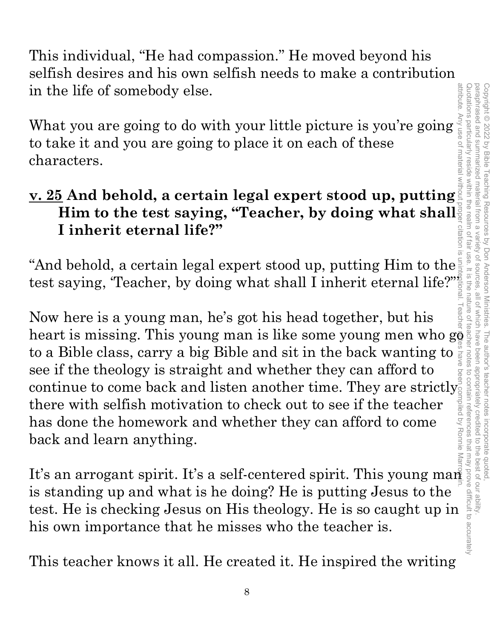This individual, "He had compassion." He moved beyond his selfish desires and his own selfish needs to make a contribution in the life of somebody else.

What you are going to do with your little picture is you're going  $\frac{2}{5}$  to take it and you are going to place it on each of these characters. to take it and you are going to place it on each of these characters.

#### **v. 25 And behold, a certain legal expert stood up, putting Him to the test saying, "Teacher, by doing what shall I inherit eternal life?"**

"And behold, a certain legal expert stood up, putting Him to the test saying, 'Teacher, by doing what shall I inherit eternal life?" $\frac{25}{9}$ 

Now here is a young man, he's got his head together, but his heart is missing. This young man is like some young men who go to a Bible class, carry a big Bible and sit in the back wanting to see if the theology is straight and whether they can afford to continue to come back and listen another time. They are strictly $_{{\rm 8}}^{{\scriptscriptstyle\rm\stackrel{>}{\scriptscriptstyle\rm\stackrel{>}{\scriptscriptstyle\rm\stackrel{>}{\scriptscriptstyle\rm\stackrel{>}{\scriptscriptstyle\rm\stackrel{>}{\scriptscriptstyle\rm\stackrel{>}{\scriptscriptstyle\rm\stackrel{>}{\scriptscriptstyle\rm\stackrel{>}{\scriptscriptstyle\rm\stackrel{>}{\scriptscriptstyle\rm\stackrel{>}{\scriptscriptstyle\rm\stackrel{>}{\scriptscriptstyle\rm\stackrel{>}{\scriptscript$ there with selfish motivation to check out to see if the teacher has done the homework and whether they can afford to come back and learn anything. From Hire 12 a young man, it's got his heart is missing. This young man is like some young men who got to a Bible class, carry a big Bible and sit in the back wanting to see if the theology is straight and whether they ca

is standing up and what is he doing? He is putting Jesus to the test. He is checking Jesus on His theology. He is so caught up in his own importance that he misses who the teacher is.

This teacher knows it all. He created it. He inspired the writing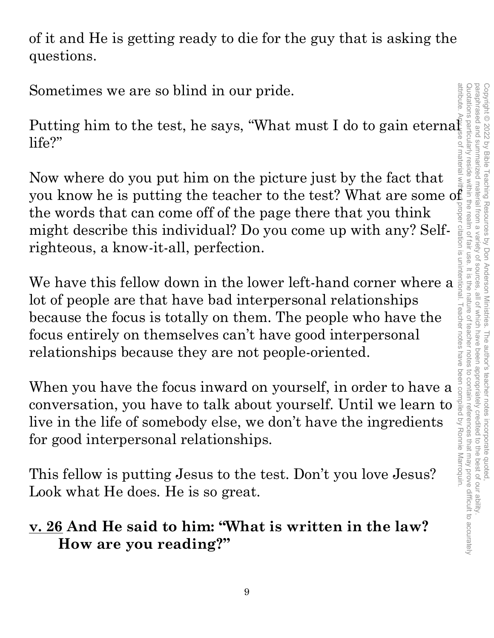of it and He is getting ready to die for the guy that is asking the questions.

Sometimes we are so blind in our pride.

Putting him to the test, he says, "What must I do to gain eternal" life?"

Now where do you put him on the picture just by the fact that you know he is putting the teacher to the test? What are some of the words that can come off of the page there that you think might describe this individual? Do you come up with any? Selfrighteous, a know-it-all, perfection. the words that can come off of the page there that you think<br>might describe this individual? Do you come up with any? Self-<br>righteous, a know-it-all, perfection.<br>We have this fellow down in the lower left-hand corner wher

lot of people are that have bad interpersonal relationships because the focus is totally on them. The people who have the focus entirely on themselves can't have good interpersonal relationships because they are not people-oriented.

For or people are that have bad interpersonal relationships<br>because the focus is totally on them. The people who have the<br>focus entirely on themselves can't have good interpersonal<br>relationships because they are not peopl conversation, you have to talk about yourself. Until we learn to live in the life of somebody else, we don't have the ingredients for good interpersonal relationships.

This fellow is putting Jesus to the test. Don't you love Jesus? Look what He does. He is so great.

#### **v. 26 And He said to him: "What is written in the law? How are you reading?"**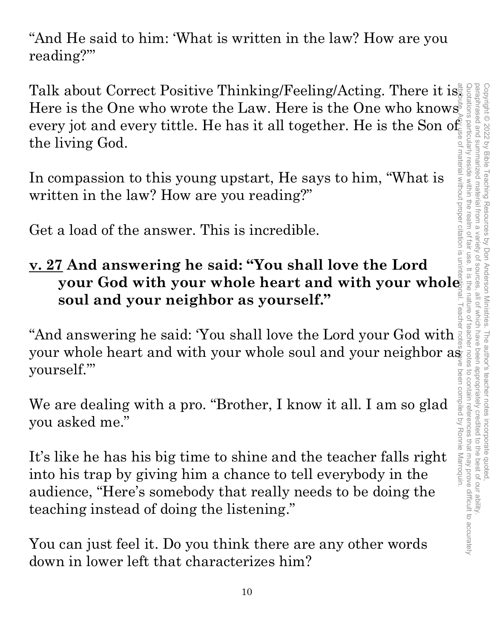attribute. Any use of material without proper citation is unintentional. Teacher notes have been compiled by Ronnie Marroquin.Quotations particularly reside within the realm of fair use. It is the nature of teacher notes to contain references that may prove difficult to accurately paraphrased and summarized paraphrased and summarized material from a variety of sources, all of which have been appropriately credited to the best of our ability. Copyright © 2022 by Bible Teaching Resources Copyright © 2022 by Bible Teaching Resources by Don Anderson Ministries. The author's teacher notes incorporate quoted, s particularly reside within the realm material without proper citation is I material from  $\overline{\omega}$ variety o by Don Anderson Ministries It is the nature of all of which have been . The author's teacher notes incorporate quoted,<br>I have been appropriately credited to the best of our ability,

"And He said to him: 'What is written in the law? How are you reading?"'

Talk about Correct Positive Thinking/Feeling/Acting. There it is. Here is the One who wrote the Law. Here is the One who knows every jot and every tittle. He has it all together. He is the Son of the living God.

In compassion to this young upstart, He says to him, "What is written in the law? How are you reading?"

Get a load of the answer. This is incredible.

# **v. 27 And answering he said: "You shall love the Lord Find answering he said: "You shall love the Lord**<br>your God with your whole heart and with your whole<sup>3</sup> **soul and your neighbor as yourself."**

"And answering he said: 'You shall love the Lord your God with your whole heart and with your whole soul and your neighbor  $\mathbf{a}\mathbf{\hat{s}}$ yourself."'

We are dealing with a pro. "Brother, I know it all. I am so glad you asked me."

It's like he has his big time to shine and the teacher falls right into his trap by giving him a chance to tell everybody in the audience, "Here's somebody that really needs to be doing the teaching instead of doing the listening."

You can just feel it. Do you think there are any other words down in lower left that characterizes him?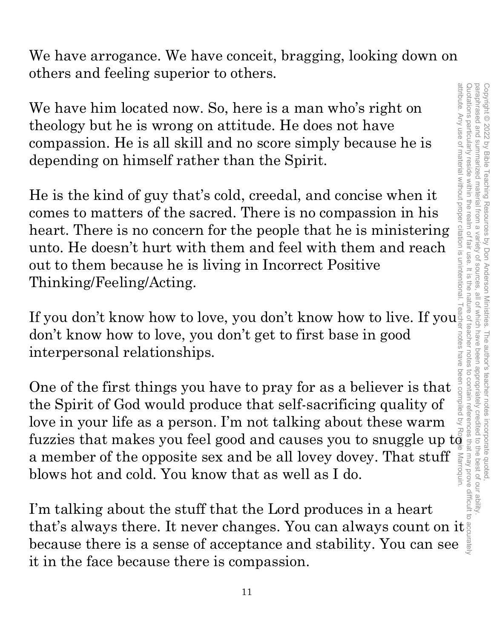We have arrogance. We have conceit, bragging, looking down on others and feeling superior to others.

We have him located now. So, here is a man who's right on theology but he is wrong on attitude. He does not have compassion. He is all skill and no score simply because he is depending on himself rather than the Spirit.

He is the kind of guy that's cold, creedal, and concise when it comes to matters of the sacred. There is no compassion in his heart. There is no concern for the people that he is ministering unto. He doesn't hurt with them and feel with them and reach out to them because he is living in Incorrect Positive Thinking/Feeling/Acting.

If you don't know how to love, you don't know how to live. If you don't know how to love, you don't get to first base in good interpersonal relationships.

One of the first things you have to pray for as a believer is that the Spirit of God would produce that self-sacrificing quality of love in your life as a person. I'm not talking about these warm fuzzies that makes you feel good and causes you to snuggle up to a member of the opposite sex and be all lovey dovey. That stuff blows hot and cold. You know that as well as I do. attribute. Any use of material without proper citation is unintentional. Teacher notes have been compiled by Ronnie Marroquin.

I'm talking about the stuff that the Lord produces in a heart that's always there. It never changes. You can always count on it because there is a sense of acceptance and stability. You can see it in the face because there is compassion.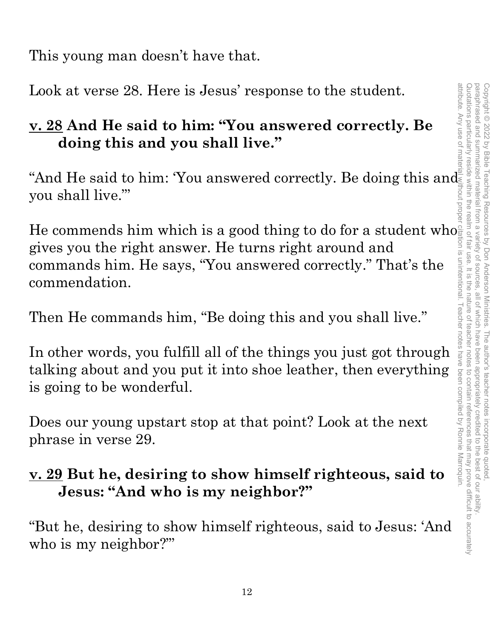This young man doesn't have that.

Look at verse 28. Here is Jesus' response to the student.

#### **v. 28 And He said to him: "You answered correctly. Be doing this and you shall live."**

"And He said to him: 'You answered correctly. Be doing this and  $\equiv$ you shall live."'

He commends him which is a good thing to do for a student who gives you the right answer. He turns right around and commands him. He says, "You answered correctly." That's the commendation.

Then He commands him, "Be doing this and you shall live."

In other words, you fulfill all of the things you just got through talking about and you put it into shoe leather, then everything is going to be wonderful.

Does our young upstart stop at that point? Look at the next phrase in verse 29.

#### **v. 29 But he, desiring to show himself righteous, said to Jesus: "And who is my neighbor?"**

"But he, desiring to show himself righteous, said to Jesus: 'And who is my neighbor?"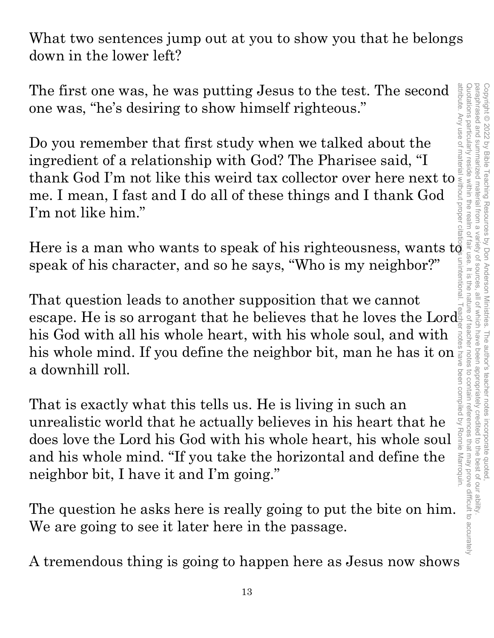attribute. Any use of material without proper citation is unintentional. Teacher notes have been compiled by Ronnie Marroquin.Quotations particularly reside within the realm of fair use. It is the nature of teacher notes to contain references that may prove difficult to accurately paraphrased and summarized material from a paraphrased and summarized material from a variety of sources, all of which have been appropriately credited to the best of our ability. Copyright © 2022 by Bible Teaching Resources Copyright © 2022 by Bible Teaching Resources by Don Anderson Ministries. The author's teacher notes incorporate quoted, variety of by Don Anderson Ministries sources n Ministries. The author's teacher notes incorporate quoted,<br>, all of which have been appropriately credited to the best of our ability

What two sentences jump out at you to show you that he belongs down in the lower left?

The first one was, he was putting Jesus to the test. The second one was, "he's desiring to show himself righteous."

Do you remember that first study when we talked about the ingredient of a relationship with God? The Pharisee said, "I thank God I'm not like this weird tax collector over here next to me. I mean, I fast and I do all of these things and I thank God I'm not like him."

Here is a man who wants to speak of his righteousness, wants  $t\tilde{g}$ unintentional speak of his character, and so he says, "Who is my neighbor?"

That question leads to another supposition that we cannot escape. He is so arrogant that he believes that he loves the Lord his God with all his whole heart, with his whole soul, and with a downhill roll.

his God with all his whole heart, with his whole soul, and with his whole mind. If you define the neighbor bit, man he has it on  $\frac{2}{3}$  a downhill roll.<br>That is exactly what this tells us. He is living in such an unrea That is exactly what this tells us. He is living in such an unrealistic world that he actually believes in his heart that he does love the Lord his God with his whole heart, his whole soul and his whole mind. "If you take the horizontal and define the neighbor bit, I have it and I'm going."

The question he asks here is really going to put the bite on him. We are going to see it later here in the passage.

A tremendous thing is going to happen here as Jesus now shows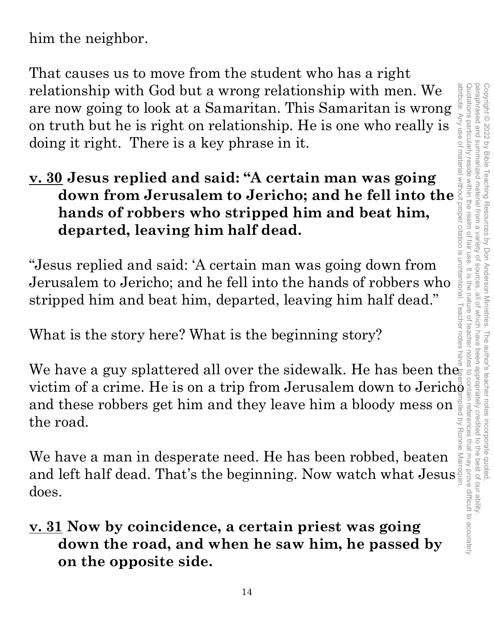him the neighbor.

That causes us to move from the student who has a right relationship with God but a wrong relationship with men. We are now going to look at a Samaritan. This Samaritan is wrong on truth but he is right on relationship. He is one who really is doing it right. There is a key phrase in it.

# **v. 30 Jesus replied and said: "A certain man was going**  tionship with God but a wrong relationship with men. We<br>now going to look at a Samaritan. This Samaritan is wrong<br>ruth but he is right on relationship. He is one who really is<br>g it right. There is a key phrase in it.<br><br>**0 hands of robbers who stripped him and beat him, departed, leaving him half dead.**

"Jesus replied and said: 'A certain man was going down from Jerusalem to Jericho; and he fell into the hands of robbers who stripped him and beat him, departed, leaving him half dead."

What is the story here? What is the beginning story?

We have a guy splattered all over the sidewalk. He has been the victim of a crime. He is on a trip from Jerusalem down to Jerich $\bar{\phi}$ and these robbers get him and they leave him a bloody mess on the road.

We have a man in desperate need. He has been robbed, beaten and left half dead. That's the beginning. Now watch what Jesus does.

#### **v. 31 Now by coincidence, a certain priest was going down the road, and when he saw him, he passed by on the opposite side.**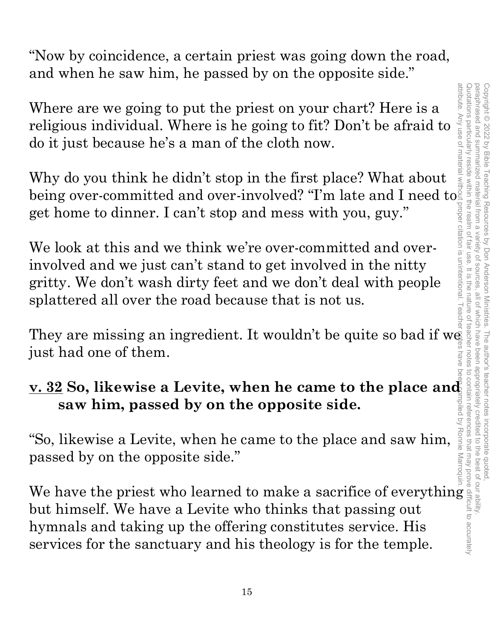"Now by coincidence, a certain priest was going down the road, and when he saw him, he passed by on the opposite side."

Where are we going to put the priest on your chart? Here is a religious individual. Where is he going to fit? Don't be afraid to do it just because he's a man of the cloth now.

Why do you think he didn't stop in the first place? What about being over-committed and over-involved? "I'm late and I need to get home to dinner. I can't stop and mess with you, guy."

We look at this and we think we're over-committed and overinvolved and we just can't stand to get involved in the nitty gritty. We don't wash dirty feet and we don't deal with people splattered all over the road because that is not us. Where are we going to put the priest on your chart? Here is a<br>
religious individual. Where is he going to fit? Don't be afraid to  $\frac{3}{2}$ <br>
do it just because he's a man of the cloth now.<br>
Why do you think he didn't stop

just had one of them.

# **saw him, passed by on the opposite side.**

"So, likewise a Levite, when he came to the place and saw him, passed by on the opposite side."

**v.** 32 **So, likewise a Levite, when he came to the place and same and saw him, passed by on the opposite side.<br>
"So, likewise a Levite, when he came to the place and saw him, assessed by on the opposite side."<br>
We have th** We have the priest who learned to make a sacrifice of everything but himself. We have a Levite who thinks that passing out hymnals and taking up the offering constitutes service. His services for the sanctuary and his theology is for the temple.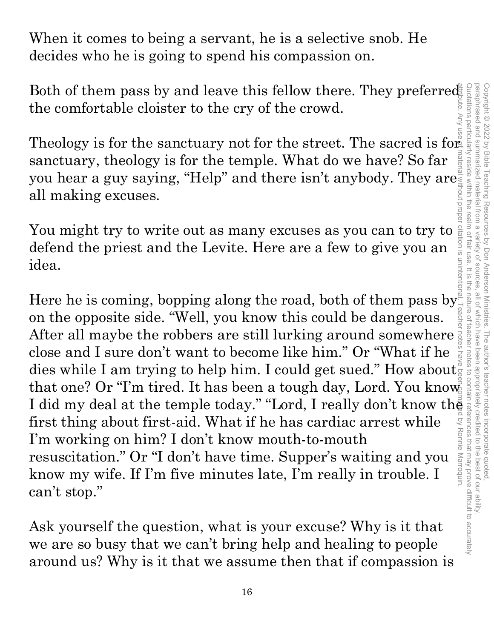When it comes to being a servant, he is a selective snob. He decides who he is going to spend his compassion on.

Both of them pass by and leave this fellow there. They preferred the comfortable cloister to the cry of the crowd.

Theology is for the sanctuary not for the street. The sacred is for sanctuary, theology is for the temple. What do we have? So far you hear a guy saying, "Help" and there isn't anybody. They are all making excuses.

You might try to write out as many excuses as you can to try to defend the priest and the Levite. Here are a few to give you an idea.

attribute. Any use of material without proper citation is unintentional. Teacher notes have been compiled by Ronnie Marroquin.Here he is coming, bopping along the road, both of them pass by on the opposite side. "Well, you know this could be dangerous. After all maybe the robbers are still lurking around somewhere After all maybe the robbers are still lurking around somewhere  $\frac{1}{8}$  close and I sure don't want to become like him." Or "What if he gad dies while I am trying to help him. I could get sued." How about that one? Or "I close and I sure don't want to become like him." Or "What if he dies while I am trying to help him. I could get sued." How about I did my deal at the temple today." "Lord, I really don't know the first thing about first-aid. What if he has cardiac arrest while  $\frac{1}{2}$  in working on him? I don't know mouth-to-mouth resuscitation." Or "I don't have first thing about first-aid. What if he has cardiac arrest while <u>a</u> Ronnie Marroquin I'm working on him? I don't know mouth-to-mouth resuscitation." Or "I don't have time. Supper's waiting and you know my wife. If I'm five minutes late, I'm really in trouble. I can't stop."

Ask yourself the question, what is your excuse? Why is it that we are so busy that we can't bring help and healing to people around us? Why is it that we assume then that if compassion is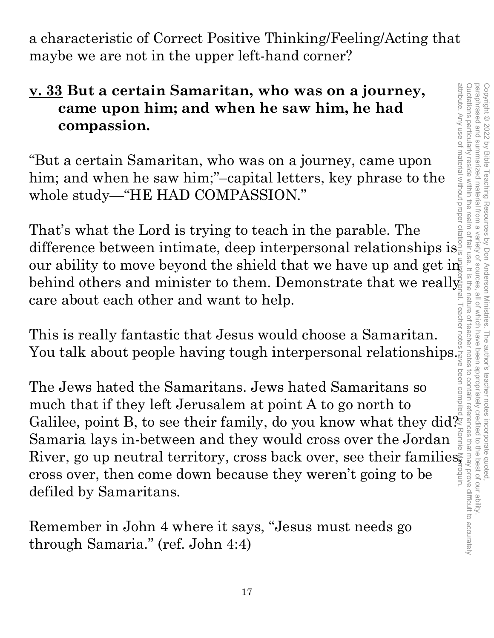a characteristic of Correct Positive Thinking/Feeling/Acting that maybe we are not in the upper left-hand corner?

#### **v. 33 But a certain Samaritan, who was on a journey, came upon him; and when he saw him, he had compassion.**

"But a certain Samaritan, who was on a journey, came upon him; and when he saw him;"–capital letters, key phrase to the whole study—"HE HAD COMPASSION."

That's what the Lord is trying to teach in the parable. The difference between intimate, deep interpersonal relationships is behind others and minister to them. Demonstrate that we really care about each other and want to help.

This is really fantastic that Jesus would choose a Samaritan. You talk about people having tough interpersonal relationships.  $\frac{s}{v}$ 

our ability to move beyond the shield that we have up and get in<br>behind others and minister to them. Demonstrate that we really<br>care about each other and want to help.<br>This is really fantastic that Jesus would choose a Sa The Jews hated the Samaritans. Jews hated Samaritans so much that if they left Jerusalem at point A to go north to Galilee, point B, to see their family, do you know what they did? Samaria lays in-between and they would cross over the Jordan River, go up neutral territory, cross back over, see their families, cross over, then come down because they weren't going to be defiled by Samaritans.

Remember in John 4 where it says, "Jesus must needs go through Samaria." (ref. John 4:4)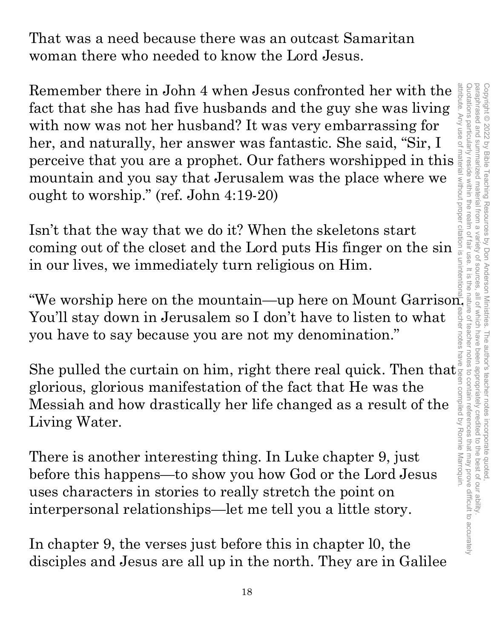That was a need because there was an outcast Samaritan woman there who needed to know the Lord Jesus.

Remember there in John 4 when Jesus confronted her with the  $\frac{3}{5}$ fact that she has had five husbands and the guy she was living with now was not her husband? It was very embarrassing for her, and naturally, her answer was fantastic. She said, "Sir, I perceive that you are a prophet. Our fathers worshipped in this mountain and you say that Jerusalem was the place where we ought to worship." (ref. John 4:19-20)

Isn't that the way that we do it? When the skeletons start coming out of the closet and the Lord puts His finger on the sin in our lives, we immediately turn religious on Him.

"We worship here on the mountain—up here on Mount Garrison. You'll stay down in Jerusalem so I don't have to listen to what you have to say because you are not my denomination."

She pulled the curtain on him, right there real quick. Then that general glorious, glorious manifestation of the fact that He was the Messiah and how drastically her life changed as a result of the  $\frac{1}{2}$ <br>Living Water. glorious, glorious manifestation of the fact that He was the Messiah and how drastically her life changed as a result of the Living Water.

There is another interesting thing. In Luke chapter 9, just before this happens—to show you how God or the Lord Jesus uses characters in stories to really stretch the point on interpersonal relationships—let me tell you a little story.

In chapter 9, the verses just before this in chapter l0, the disciples and Jesus are all up in the north. They are in Galilee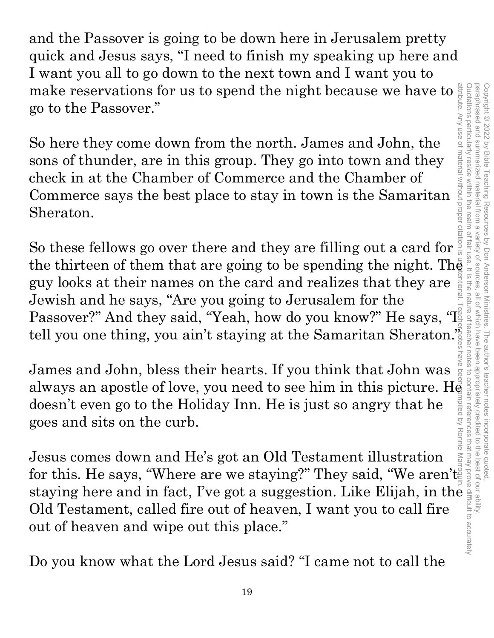and the Passover is going to be down here in Jerusalem pretty quick and Jesus says, "I need to finish my speaking up here and I want you all to go down to the next town and I want you to make reservations for us to spend the night because we have to go to the Passover."

So here they come down from the north. James and John, the sons of thunder, are in this group. They go into town and they check in at the Chamber of Commerce and the Chamber of Commerce says the best place to stay in town is the Samaritan Sheraton.

So these fellows go over there and they are filling out a card for So these fellows go over there and they are filling out a card for  $\frac{1}{3}$  the thirteen of them that are going to be spending the night. The gauge looks at their names on the card and realizes that they are  $\frac{1}{3}$ guy looks at their names on the card and realizes that they are Jewish and he says, "Are you going to Jerusalem for the Passover?" And they said, "Yeah, how do you know?" He says, "I

James and John, bless their hearts. If you think that John was always an apostle of love, you need to see him in this picture. H $\bar{\rm e}$ doesn't even go to the Holiday Inn. He is just so angry that he goes and sits on the curb.

Jewish and he says, "Are you going to Jerusalem for the<br>
Passover?" And they said, "Yeah, how do you know?" He says, "The says of<br>
tell you one thing, you ain't staying at the Samaritan Sheraton."<br>
James and John, bless t Jesus comes down and He's got an Old Testament illustration for this. He says, "Where are we staying?" They said, "We aren't staying here and in fact, I've got a suggestion. Like Elijah, in the Old Testament, called fire out of heaven, I want you to call fire out of heaven and wipe out this place."

Do you know what the Lord Jesus said? "I came not to call the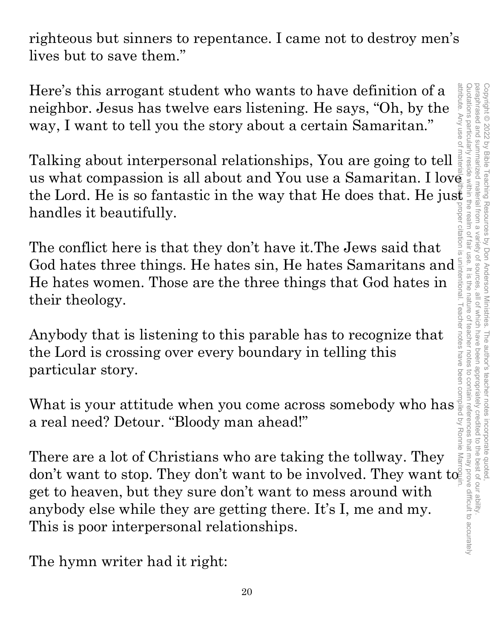paraphrased and summarized material from a attribute. Any use of material without proper citation is unintentional. Teacher notes have been compiled by Ronnie Marroquin.Quotations particularly reside within the realm of fair use. It is the nature of teacher notes to contain references that may prove difficult to accurately paraphrased and summarized material from a variety of sources, all of which have been appropriately credited to the best of our ability. Copyright © 2022 by Bible Copyright © 2022 by Bible Teaching Resources by Don Anderson Ministries. The author's teacher notes incorporate quoted, **Teaching Resources** variety of sources. i by Don Anderson Ministries. The author's teacher notes incorporate quoted,<br>ariety of sources, all of which have been appropriately credited to the best of our ability.

righteous but sinners to repentance. I came not to destroy men's lives but to save them."

Here's this arrogant student who wants to have definition of a neighbor. Jesus has twelve ears listening. He says, "Oh, by the way, I want to tell you the story about a certain Samaritan."

Talking about interpersonal relationships, You are going to tell us what compassion is all about and You use a Samaritan. I love handles it beautifully.

The conflict here is that they don't have it.The Jews said that God hates three things. He hates sin, He hates Samaritans and He hates women. Those are the three things that God hates in their theology.

Anybody that is listening to this parable has to recognize that the Lord is crossing over every boundary in telling this particular story.

What is your attitude when you come across somebody who has a real need? Detour. "Bloody man ahead!"

Here's this arrogant student who wants to have definition of a ncighbor. Jesus has two<br>Vev cars listening. He says, 'Oh, by the strain Samaritan."<br>Talking about interpersonal relationships, You are going to tell<br>us what c There are a lot of Christians who are taking the tollway. They don't want to stop. They don't want to be involved. They want to get to heaven, but they sure don't want to mess around with anybody else while they are getting there. It's I, me and my. This is poor interpersonal relationships.

The hymn writer had it right: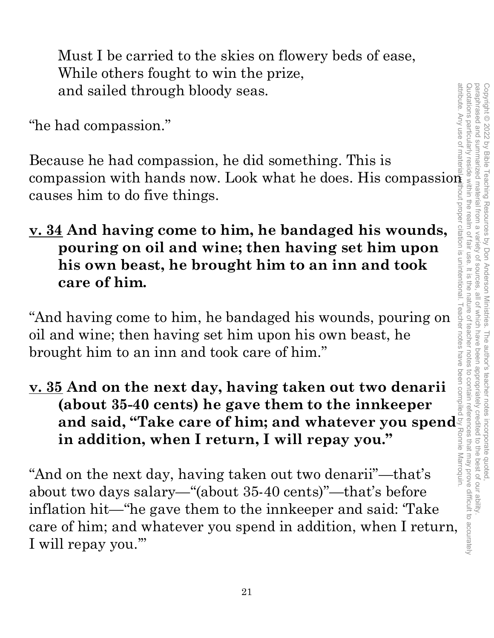Must I be carried to the skies on flowery beds of ease, While others fought to win the prize, and sailed through bloody seas.

"he had compassion."

Because he had compassion, he did something. This is compassion with hands now. Look what he does. His compassion causes him to do five things.

**v. 34 And having come to him, he bandaged his wounds, pouring on oil and wine; then having set him upon his own beast, he brought him to an inn and took care of him.**

"And having come to him, he bandaged his wounds, pouring on oil and wine; then having set him upon his own beast, he brought him to an inn and took care of him."

**v. 35 And on the next day, having taken out two denarii (about 35-40 cents) he gave them to the innkeeper and said, "Take care of him; and whatever you spend in addition, when I return, I will repay you."** 

"And on the next day, having taken out two denarii"—that's about two days salary—"(about 35-40 cents)"—that's before inflation hit—"he gave them to the innkeeper and said: 'Take care of him; and whatever you spend in addition, when I return, I will repay you.'"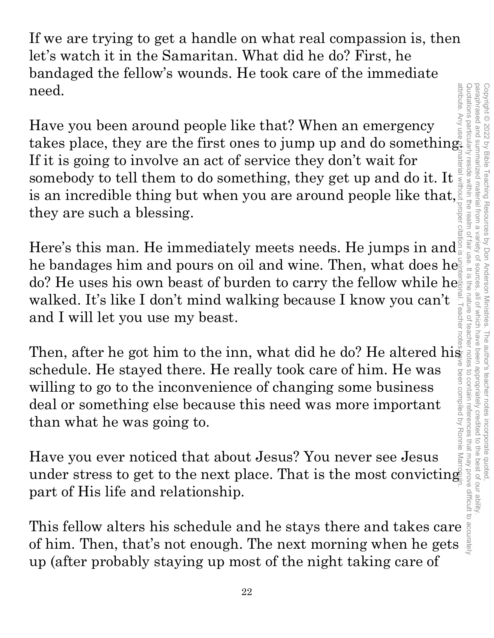If we are trying to get a handle on what real compassion is, then let's watch it in the Samaritan. What did he do? First, he bandaged the fellow's wounds. He took care of the immediate need.

Have you been around people like that? When an emergency takes place, they are the first ones to jump up and do something. If it is going to involve an act of service they don't wait for somebody to tell them to do something, they get up and do it. It is an incredible thing but when you are around people like that, they are such a blessing. they are such a blessing.<br>Here's this man. He immediately meets needs. He jumps in and

he bandages him and pours on oil and wine. Then, what does he do? He uses his own beast of burden to carry the fellow while he walked. It's like I don't mind walking because I know you can't and I will let you use my beast.

Then, after he got him to the inn, what did he do? He altered his schedule. He stayed there. He really took care of him. He was willing to go to the inconvenience of changing some business deal or something else because this need was more important than what he was going to. do? He uses his own beast of burden to carry the fellow while he<br>walked. It's like I don't mind walking because I know you can't<br>and I will let you use my beast.<br>Then, after he got him to the inn, what did he do? He alter

Have you ever noticed that about Jesus? You never see Jesus part of His life and relationship.

This fellow alters his schedule and he stays there and takes care of him. Then, that's not enough. The next morning when he gets up (after probably staying up most of the night taking care of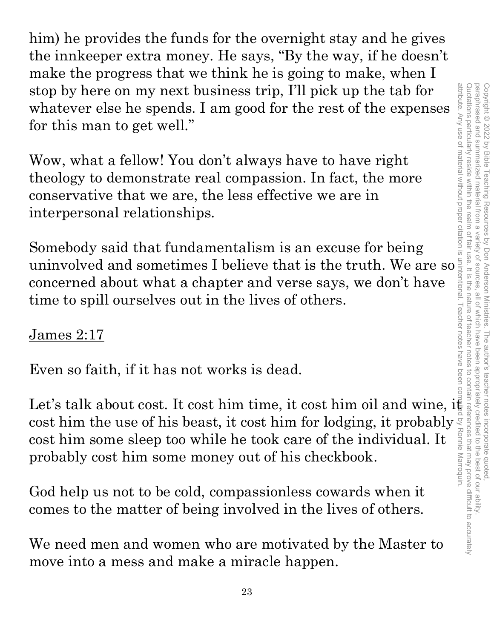him) he provides the funds for the overnight stay and he gives the innkeeper extra money. He says, "By the way, if he doesn't make the progress that we think he is going to make, when I stop by here on my next business trip, I'll pick up the tab for whatever else he spends. I am good for the rest of the expenses for this man to get well."

Wow, what a fellow! You don't always have to have right theology to demonstrate real compassion. In fact, the more conservative that we are, the less effective we are in interpersonal relationships.

Somebody said that fundamentalism is an excuse for being stop by here on my next business trip, I'll pick up the tab for<br>whatever else he spends. I am good for the rest of the expenses<br>for this man to get well."<br>Wow, what a fellow! You don't always have to have right<br>theology t concerned about what a chapter and verse says, we don't have time to spill ourselves out in the lives of others.

#### James 2:17

Even so faith, if it has not works is dead.

stop by here on my next business trip, I'll pick up the tab for<br>whatever clsc he spends. I am good for the rest of the expenses<br>for this man to get well."<br>Wow, what a fellow! You don't always have to have right<br>theology t cost him the use of his beast, it cost him for lodging, it probably cost him some sleep too while he took care of the individual. It probably cost him some money out of his checkbook. cost him some sleep too while he took care of the individual. It probably cost him some money out of his checkbook.

God help us not to be cold, compassionless cowards when it comes to the matter of being involved in the lives of others.

We need men and women who are motivated by the Master to move into a mess and make a miracle happen.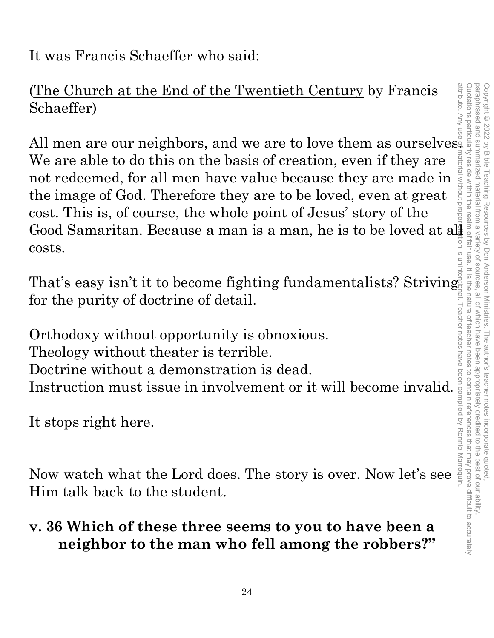It was Francis Schaeffer who said:

(The Church at the End of the Twentieth Century by Francis Schaeffer)

All men are our neighbors, and we are to love them as ourselves. We are able to do this on the basis of creation, even if they are not redeemed, for all men have value because they are made in the image of God. Therefore they are to be loved, even at great cost. This is, of course, the whole point of Jesus' story of the We are able to do this on the basis of creation, even if they are  $\frac{1}{2}$  not redeemed, for all men have value because they are made in the image of God. Therefore they are to be loved, even at great cost. This is, of c costs.

That's easy isn't it to become fighting fundamentalists? Striving for the purity of doctrine of detail.

Orthodoxy without opportunity is obnoxious. Theology without theater is terrible. Doctrine without a demonstration is dead. Instruction without opportunity is obnoxious.<br>
Theology without theater is terrible.<br>
Doctrine without a demonstration is dead.<br>
Instruction must issue in involvement or it will become invalid.<br>
It stops right here.<br>
Now w

It stops right here.

Now watch what the Lord does. The story is over. Now let's see Him talk back to the student.

#### **v. 36 Which of these three seems to you to have been a neighbor to the man who fell among the robbers?"**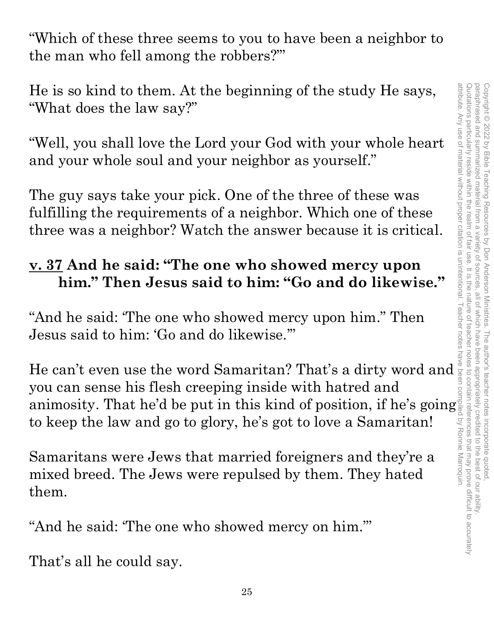"Which of these three seems to you to have been a neighbor to the man who fell among the robbers?"'

He is so kind to them. At the beginning of the study He says, "What does the law say?"

"Well, you shall love the Lord your God with your whole heart and your whole soul and your neighbor as yourself."

The guy says take your pick. One of the three of these was fulfilling the requirements of a neighbor. Which one of these three was a neighbor? Watch the answer because it is critical.

## **v. 37 And he said: "The one who showed mercy upon him." Then Jesus said to him: "Go and do likewise."**

"And he said: 'The one who showed mercy upon him." Then Jesus said to him: 'Go and do likewise.'"

He can't even use the word Samaritan? That's a dirty word and you can sense his flesh creeping inside with hatred and animosity. That he'd be put in this kind of position, if he's going to keep the law and go to glory, he's got to love a Samaritan!

Samaritans were Jews that married foreigners and they're a mixed breed. The Jews were repulsed by them. They hated them.

"And he said: 'The one who showed mercy on him."'

That's all he could say.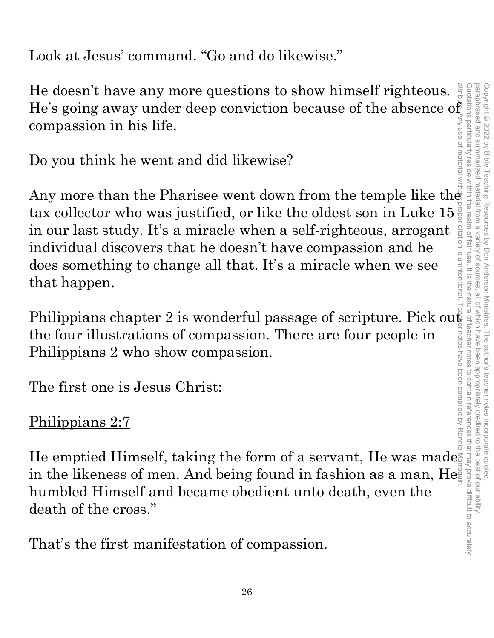Look at Jesus' command. "Go and do likewise."

He doesn't have any more questions to show himself righteous. He doesn't have any more questions to show himself righteous.<br>
He's going away under deep conviction because of the absence of<br>
compassion in his life.<br>
Do you think he went and did likewise? compassion in his life. use or material

Do you think he went and did likewise?

Any more than the Pharisee went down from the temple like the contract and self-righteous, arrogant individual discovers that he doesn't have compassion and he does something to change all that. It's a miracle when we see tax collector who was justified, or like the oldest son in Luke 15 $\frac{3}{8}$  in our last study. It's a miracle when a self-righteous, arrogant individual discovers that he doesn't have compassion and he does something to c in our last study. It's a miracle when a self-righteous, arrogant individual discovers that he doesn't have compassion and he does something to change all that. It's a miracle when we see that happen.

Copyright © 2022 by Bible Teaching Resources by Don Anderson Ministries. The author's teacher notes incorporate quoted,

Copyright © 2022 by Bible Teaching Resources by Don Anderson Ministries. The author's teacher notes incorporate quoted

paraphrased and summarized material from a variety of sources, all of which have been appropriately credited to the best of our ability.

all of which have been

appropriately credited

to the best of our ability

material from a variety of sources

paraphrased and summarized

Philippians chapter 2 is wonderful passage of scripture. Pick out the four illustrations of compassion. There are four people in Philippians 2 who show compassion.

The first one is Jesus Christ:

## Philippians 2:7

He emptied Himself, taking the form of a servant, He was made in the likeness of men. And being found in fashion as a man,  $\text{He}_{\frac{2}{3}}^{\frac{1}{3}}$ humbled Himself and became obedient unto death, even the death of the cross." Quotations particularly reside within the realm of fair use. It is the nature of teacher notes to contain references that may prove difficult to accurately attribute. Any use of material without proper citation is unintentional. Teacher notes have been compiled by Ronnie Marroquin.

That's the first manifestation of compassion.

26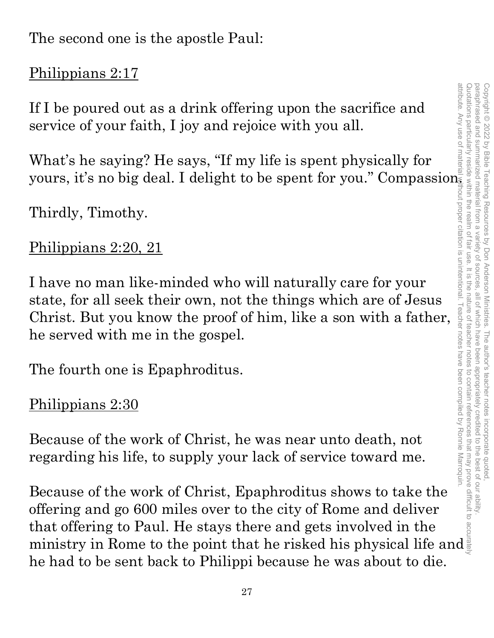The second one is the apostle Paul:

#### Philippians 2:17

If I be poured out as a drink offering upon the sacrifice and service of your faith, I joy and rejoice with you all.

What's he saying? He says, "If my life is spent physically for yours, it's no big deal. I delight to be spent for you." Compassion.

Thirdly, Timothy.

#### Philippians 2:20, 21

I have no man like-minded who will naturally care for your state, for all seek their own, not the things which are of Jesus Christ. But you know the proof of him, like a son with a father, he served with me in the gospel.

The fourth one is Epaphroditus.

#### Philippians 2:30

Because of the work of Christ, he was near unto death, not regarding his life, to supply your lack of service toward me.

Because of the work of Christ, Epaphroditus shows to take the offering and go 600 miles over to the city of Rome and deliver that offering to Paul. He stays there and gets involved in the ministry in Rome to the point that he risked his physical life and he had to be sent back to Philippi because he was about to die.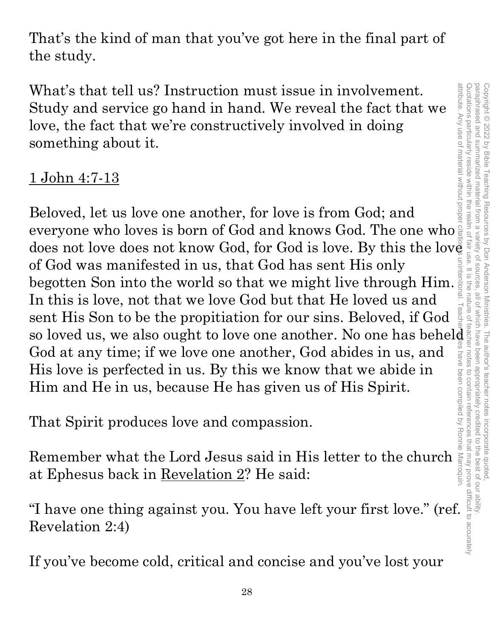paraphrased and summarized attribute. Any use of material without proper citation is unintentional. Teacher notes have been compiled by Ronnie Marroquin.Quotations particularly reside within the realm of fair use. It is the nature of teacher notes to contain references that may prove difficult to accurately paraphrased and summarized material from a variety of sources, all of which have been appropriately credited to the best of our ability. Copyright © 2022 by Bible Teaching Resources Copyright © 2022 by Bible Teaching Resources by Don Anderson Ministries. The author's teacher notes incorporate quoted, material from a variety of sources. by Don Anderson Ministries. The author's teacher notes incorporate quoted , all of which have been appropriately credited to the best of our ability

That's the kind of man that you've got here in the final part of the study.

What's that tell us? Instruction must issue in involvement. Study and service go hand in hand. We reveal the fact that we love, the fact that we're constructively involved in doing something about it.

#### 1 John 4:7-13

Beloved, let us love one another, for love is from God; and everyone who loves is born of God and knows God. The one who does not love does not know God, for God is love. By this the love of God was manifested in us, that God has sent His only unntentiona The thing is the world so that we might live through Him. This is love, not that we world so that we might live through Him. The this some to be the propitiation for our sins. Beloved, if God is and so loved us, we also ou begotten Son into the world so that we might live through Him. In this is love, not that we love God but that He loved us and sent His Son to be the propitiation for our sins. Beloved, if God so loved us, we also ought to love one another. No one has beheld God at any time; if we love one another, God abides in us, and<br>
His love is perfected in us. By this we know that we abide in<br>
Him and He in us, because He has given us of His Spirit.<br>
That Spirit produces love and compas God at any time; if we love one another, God abides in us, and His love is perfected in us. By this we know that we abide in Him and He in us, because He has given us of His Spirit.

That Spirit produces love and compassion.

at Ephesus back in Revelation 2? He said:

Revelation 2:4)

If you've become cold, critical and concise and you've lost your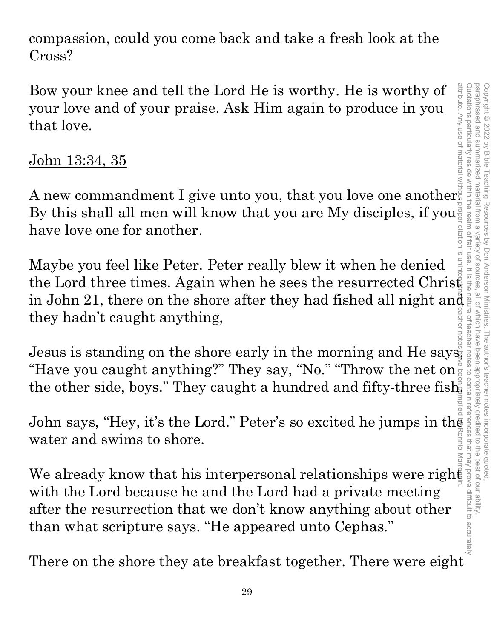compassion, could you come back and take a fresh look at the Cross?

Bow your knee and tell the Lord He is worthy. He is worthy of your love and of your praise. Ask Him again to produce in you that love.

#### John 13:34, 35

A new commandment I give unto you, that you love one another. By this shall all men will know that you are My disciples, if you have love one for another.

Maybe you feel like Peter. Peter really blew it when he denied the Lord three times. Again when he sees the resurrected Christ in John 21, there on the shore after they had fished all night and they hadn't caught anything,

Jesus is standing on the shore early in the morning and He says.<br>
"Have you caught anything?" They say, "No." "Throw the net on  $\frac{1}{8}$  the other side, boys." They caught a hundred and fifty-three fish "Have you caught anything?" They say, "No." "Throw the net on the other side, boys." They caught a hundred and fifty-three fish.

John says, "Hey, it's the Lord." Peter's so excited he jumps in the  $\frac{1}{2}$  water and swims to shore.<br>We already know that his interpersonal relationships were rightness and  $\frac{1}{2}$ water and swims to shore.

We already know that his interpersonal relationships were right with the Lord because he and the Lord had a private meeting after the resurrection that we don't know anything about other than what scripture says. "He appeared unto Cephas."

There on the shore they ate breakfast together. There were eight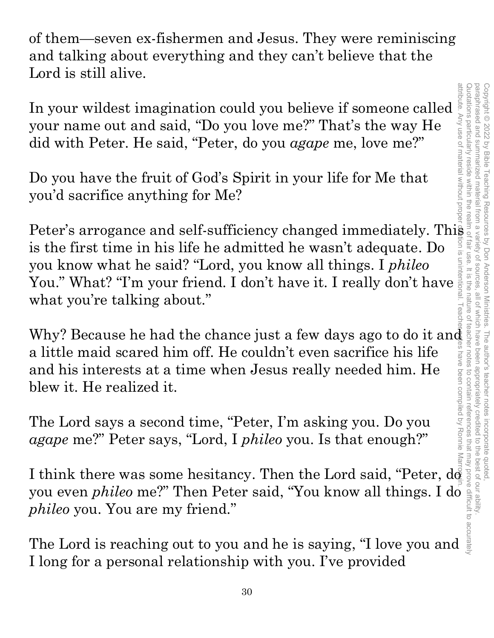of them—seven ex-fishermen and Jesus. They were reminiscing and talking about everything and they can't believe that the Lord is still alive.

In your wildest imagination could you believe if someone called your name out and said, "Do you love me?" That's the way He did with Peter. He said, "Peter, do you *agape* me, love me?"

Do you have the fruit of God's Spirit in your life for Me that you'd sacrifice anything for Me?

Peter's arrogance and self-sufficiency changed immediately. This is the first time in his life he admitted he wasn't adequate. Do you know what he said? "Lord, you know all things. I *phileo* You." What? "I'm your friend. I don't have it. I really don't have what you're talking about."

Why? Because he had the chance just a few days ago to do it and a little maid scared him off. He couldn't even sacrifice his life and his interests at a time when Jesus really needed him. He blew it. He realized it.

The Lord says a second time, "Peter, I'm asking you. Do you *agape* me?" Peter says, "Lord, I *phileo* you. Is that enough?"

I think there was some hesitancy. Then the Lord said, "Peter,  $d\hat{\theta}$ you even *phileo* me?" Then Peter said, "You know all things. I do *phileo* you. You are my friend."

The Lord is reaching out to you and he is saying, "I love you and I long for a personal relationship with you. I've provided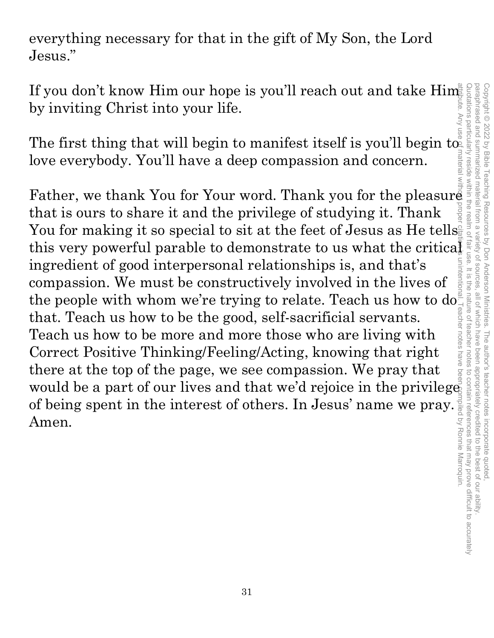attribute. Any use of material without proper citation is unintentional. Teacher notes have been compiled by Ronnie Marroquin.Quotations particularly reside within the realm of fair use. It is the nature of teacher notes to contain references that may prove difficult to accurately paraphrased and summarized material from a variety of sources paraphrased and summarized material from a variety of sources, all of which have been appropriately credited to the best of our ability. Copyright © 2022 by Bible Teaching Resources by Don Anderson Ministries. The author's teacher notes incorporate quoted Copyright © 2022 by Bible Teaching Resources by Don Anderson Ministries. The author's teacher notes incorporate quoted, all of which have been appropriately credited to the best of our ability

everything necessary for that in the gift of My Son, the Lord Jesus."

If you don't know Him our hope is you'll reach out and take Him by inviting Christ into your life.

The first thing that will begin to manifest itself is you'll begin to love everybody. You'll have a deep compassion and concern.

Father, we thank You for Your word. Thank you for the pleasure<br>that is ours to share it and the privilege of studying it. Thank<br>You for making it so special to sit at the feet of Jesus as He tells<br>this very powerful parab that is ours to share it and the privilege of studying it. Thank You for making it so special to sit at the feet of Jesus as He tells this very powerful parable to demonstrate to us what the critical ingredient of good interpersonal relationships is, and that's compassion. We must be constructively involved in the lives of the people with whom we're trying to relate. Teach us how to do that. Teach us how to be the good, self-sacrificial servants. Teach us how to be more and more those who are living with Correct Positive Thinking/Feeling/Acting, knowing that right there at the top of the page, we see compassion. We pray that would be a part of our lives and that we'd rejoice in the privileg $\vec{e}_s$ of being spent in the interest of others. In Jesus' name we pray. Amen.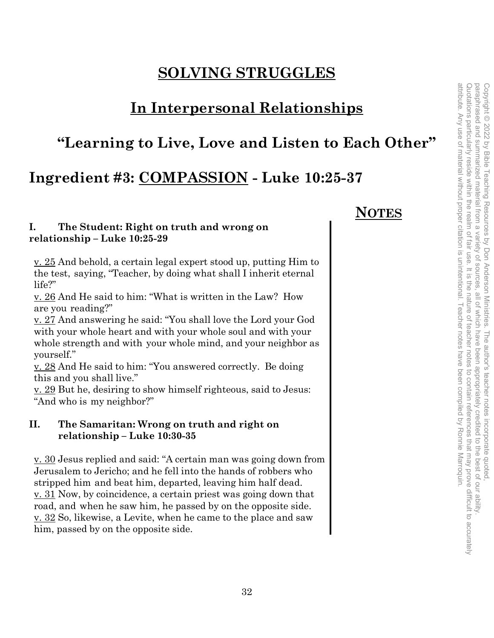#### **SOLVING STRUGGLES**

#### **In Interpersonal Relationships**

#### **"Learning to Live, Love and Listen to Each Other"**

#### **Ingredient #3: COMPASSION - Luke 10:25-37**

#### **I. The Student: Right on truth and wrong on relationship – Luke 10:25-29**

v. 25 And behold, a certain legal expert stood up, putting Him to the test, saying, "Teacher, by doing what shall I inherit eternal life?"

v. 26 And He said to him: "What is written in the Law? How are you reading?"

v. 27 And answering he said: "You shall love the Lord your God with your whole heart and with your whole soul and with your whole strength and with your whole mind, and your neighbor as yourself."

v. 28 And He said to him: "You answered correctly. Be doing this and you shall live."

v. 29 But he, desiring to show himself righteous, said to Jesus: "And who is my neighbor?"

#### **II. The Samaritan: Wrong on truth and right on relationship – Luke 10:30-35**

v. 30 Jesus replied and said: "A certain man was going down from Jerusalem to Jericho; and he fell into the hands of robbers who stripped him and beat him, departed, leaving him half dead. v. 31 Now, by coincidence, a certain priest was going down that road, and when he saw him, he passed by on the opposite side.  $\underline{v}$ . 32 So, likewise, a Levite, when he came to the place and saw him, passed by on the opposite side.

#### **NOTES**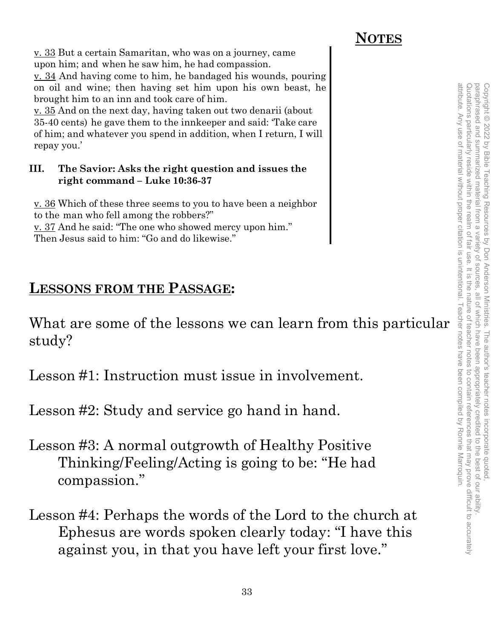**NOTES**

v. 33 But a certain Samaritan, who was on a journey, came upon him; and when he saw him, he had compassion.

v. 34 And having come to him, he bandaged his wounds, pouring on oil and wine; then having set him upon his own beast, he brought him to an inn and took care of him.

v. 35 And on the next day, having taken out two denarii (about 35-40 cents) he gave them to the innkeeper and said: 'Take care of him; and whatever you spend in addition, when I return, I will repay you.'

#### **III. The Savior: Asks the right question and issues the right command – Luke 10:36-37**

v. 36 Which of these three seems to you to have been a neighbor to the man who fell among the robbers?" v. 37 And he said: "The one who showed mercy upon him."

Then Jesus said to him: "Go and do likewise."

#### **LESSONS FROM THE PASSAGE:**

What are some of the lessons we can learn from this particular study?

Lesson #1: Instruction must issue in involvement.

Lesson #2: Study and service go hand in hand.

- Lesson #3: A normal outgrowth of Healthy Positive Thinking/Feeling/Acting is going to be: "He had compassion."
- Lesson #4: Perhaps the words of the Lord to the church at Ephesus are words spoken clearly today: "I have this against you, in that you have left your first love."